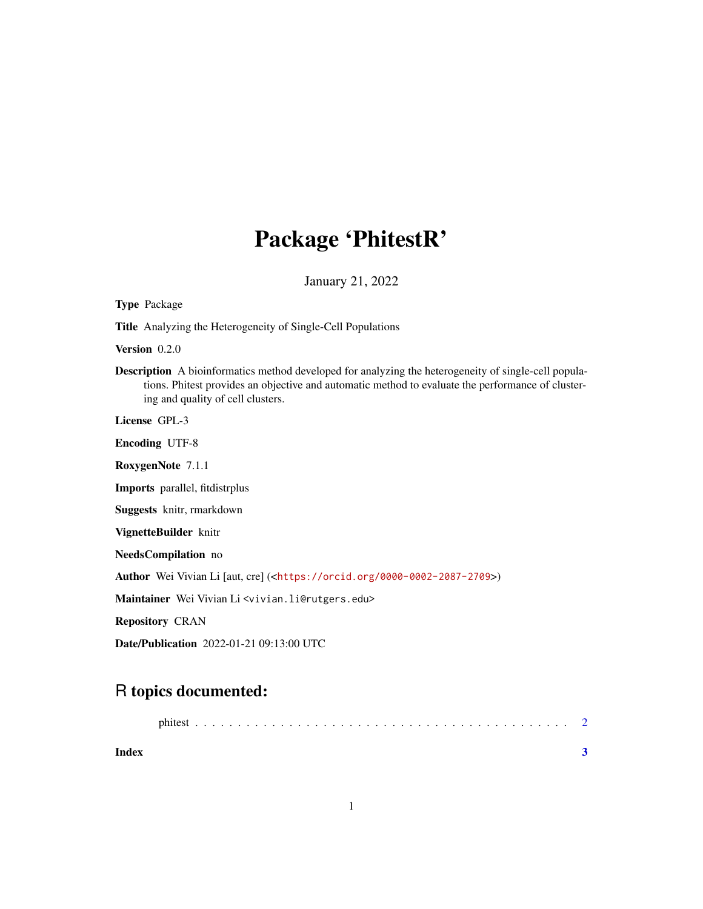## Package 'PhitestR'

January 21, 2022

| <b>Type Package</b>                                                                                                                                                                                                                                   |
|-------------------------------------------------------------------------------------------------------------------------------------------------------------------------------------------------------------------------------------------------------|
| <b>Title</b> Analyzing the Heterogeneity of Single-Cell Populations                                                                                                                                                                                   |
| <b>Version</b> $0.2.0$                                                                                                                                                                                                                                |
| <b>Description</b> A bioinformatics method developed for analyzing the heterogeneity of single-cell popula-<br>tions. Phitest provides an objective and automatic method to evaluate the performance of cluster-<br>ing and quality of cell clusters. |
| License GPL-3                                                                                                                                                                                                                                         |
| <b>Encoding UTF-8</b>                                                                                                                                                                                                                                 |
| RoxygenNote 7.1.1                                                                                                                                                                                                                                     |
| <b>Imports</b> parallel, fitdistrplus                                                                                                                                                                                                                 |
| Suggests knitr, rmarkdown                                                                                                                                                                                                                             |
| VignetteBuilder knitr                                                                                                                                                                                                                                 |
| <b>NeedsCompilation</b> no                                                                                                                                                                                                                            |
| <b>Author</b> Wei Vivian Li [aut, cre] ( <https: 0000-0002-2087-2709="" orcid.org="">)</https:>                                                                                                                                                       |
| Maintainer Wei Vivian Li <vivian.li@rutgers.edu></vivian.li@rutgers.edu>                                                                                                                                                                              |
| <b>Repository CRAN</b>                                                                                                                                                                                                                                |
| <b>Date/Publication</b> 2022-01-21 09:13:00 UTC                                                                                                                                                                                                       |
|                                                                                                                                                                                                                                                       |

### R topics documented:

| Index |  |
|-------|--|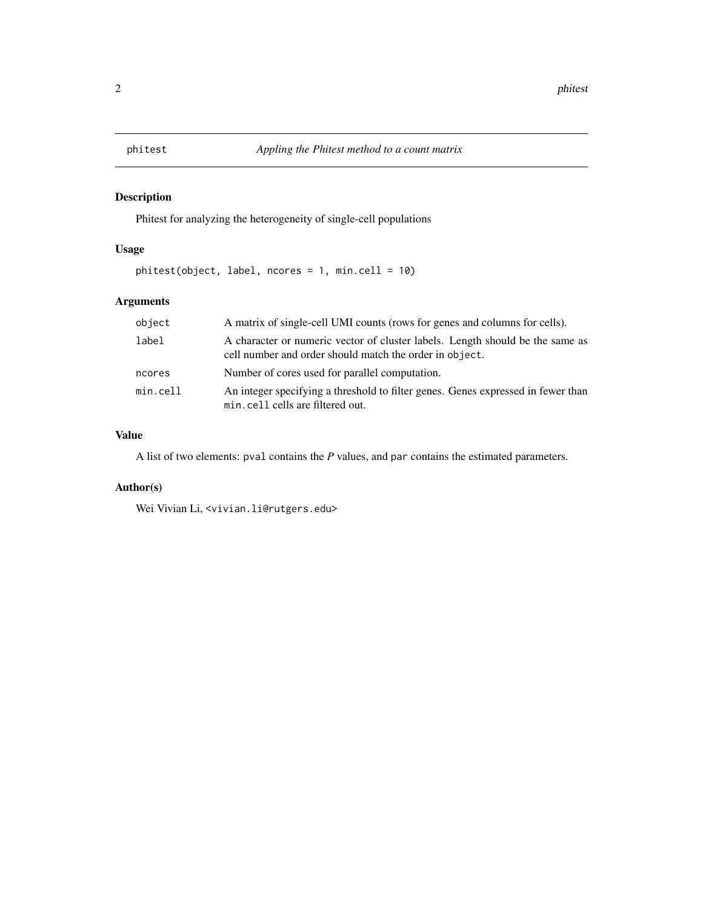<span id="page-1-0"></span>

#### Description

Phitest for analyzing the heterogeneity of single-cell populations

#### Usage

phitest(object, label, ncores = 1, min.cell = 10)

#### Arguments

| object   | A matrix of single-cell UMI counts (rows for genes and columns for cells).                                                               |
|----------|------------------------------------------------------------------------------------------------------------------------------------------|
| label    | A character or numeric vector of cluster labels. Length should be the same as<br>cell number and order should match the order in object. |
| ncores   | Number of cores used for parallel computation.                                                                                           |
| min.cell | An integer specifying a threshold to filter genes. Genes expressed in fewer than<br>min.cell cells are filtered out.                     |

#### Value

A list of two elements: pval contains the *P* values, and par contains the estimated parameters.

#### Author(s)

Wei Vivian Li, <vivian.li@rutgers.edu>